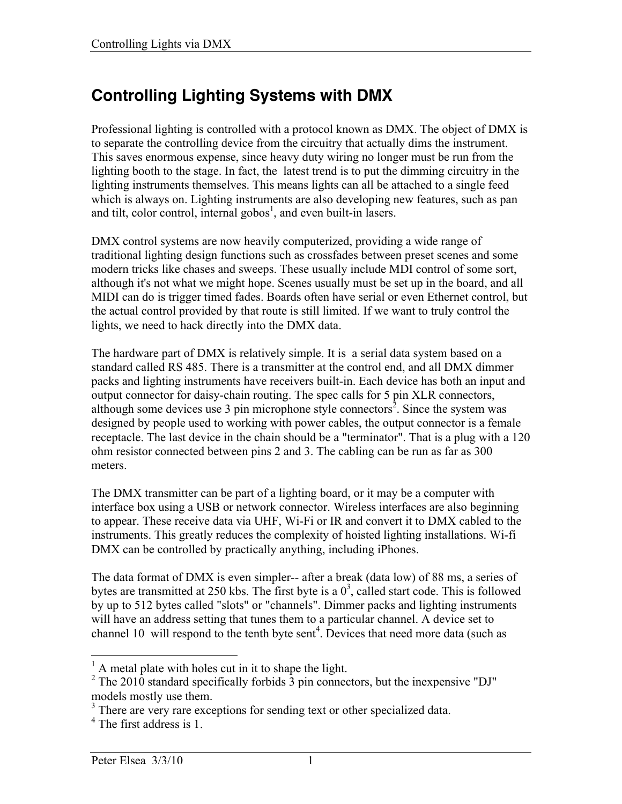# **Controlling Lighting Systems with DMX**

Professional lighting is controlled with a protocol known as DMX. The object of DMX is to separate the controlling device from the circuitry that actually dims the instrument. This saves enormous expense, since heavy duty wiring no longer must be run from the lighting booth to the stage. In fact, the latest trend is to put the dimming circuitry in the lighting instruments themselves. This means lights can all be attached to a single feed which is always on. Lighting instruments are also developing new features, such as pan and tilt, color control, internal gobos<sup>1</sup>, and even built-in lasers.

DMX control systems are now heavily computerized, providing a wide range of traditional lighting design functions such as crossfades between preset scenes and some modern tricks like chases and sweeps. These usually include MDI control of some sort, although it's not what we might hope. Scenes usually must be set up in the board, and all MIDI can do is trigger timed fades. Boards often have serial or even Ethernet control, but the actual control provided by that route is still limited. If we want to truly control the lights, we need to hack directly into the DMX data.

The hardware part of DMX is relatively simple. It is a serial data system based on a standard called RS 485. There is a transmitter at the control end, and all DMX dimmer packs and lighting instruments have receivers built-in. Each device has both an input and output connector for daisy-chain routing. The spec calls for 5 pin XLR connectors, although some devices use 3 pin microphone style connectors<sup>2</sup>. Since the system was designed by people used to working with power cables, the output connector is a female receptacle. The last device in the chain should be a "terminator". That is a plug with a 120 ohm resistor connected between pins 2 and 3. The cabling can be run as far as 300 meters.

The DMX transmitter can be part of a lighting board, or it may be a computer with interface box using a USB or network connector. Wireless interfaces are also beginning to appear. These receive data via UHF, Wi-Fi or IR and convert it to DMX cabled to the instruments. This greatly reduces the complexity of hoisted lighting installations. Wi-fi DMX can be controlled by practically anything, including iPhones.

The data format of DMX is even simpler-- after a break (data low) of 88 ms, a series of bytes are transmitted at 250 kbs. The first byte is a  $0<sup>3</sup>$ , called start code. This is followed by up to 512 bytes called "slots" or "channels". Dimmer packs and lighting instruments will have an address setting that tunes them to a particular channel. A device set to channel 10 will respond to the tenth byte sent<sup>4</sup>. Devices that need more data (such as

<sup>&</sup>lt;sup>1</sup> A metal plate with holes cut in it to shape the light.

 $2$  The 2010 standard specifically forbids  $3$  pin connectors, but the inexpensive "DJ" models mostly use them.

<sup>&</sup>lt;sup>3</sup> There are very rare exceptions for sending text or other specialized data.

<sup>&</sup>lt;sup>4</sup> The first address is 1.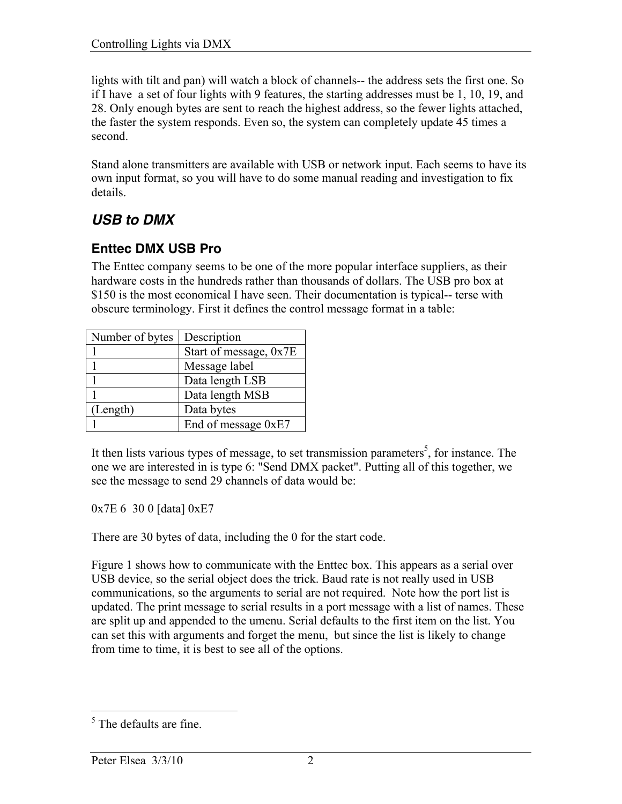lights with tilt and pan) will watch a block of channels-- the address sets the first one. So if I have a set of four lights with 9 features, the starting addresses must be 1, 10, 19, and 28. Only enough bytes are sent to reach the highest address, so the fewer lights attached, the faster the system responds. Even so, the system can completely update 45 times a second.

Stand alone transmitters are available with USB or network input. Each seems to have its own input format, so you will have to do some manual reading and investigation to fix details.

## *USB to DMX*

### **Enttec DMX USB Pro**

The Enttec company seems to be one of the more popular interface suppliers, as their hardware costs in the hundreds rather than thousands of dollars. The USB pro box at \$150 is the most economical I have seen. Their documentation is typical-- terse with obscure terminology. First it defines the control message format in a table:

| Number of bytes | Description            |
|-----------------|------------------------|
|                 | Start of message, 0x7E |
|                 | Message label          |
|                 | Data length LSB        |
|                 | Data length MSB        |
| (Length)        | Data bytes             |
|                 | End of message 0xE7    |

It then lists various types of message, to set transmission parameters<sup>5</sup>, for instance. The one we are interested in is type 6: "Send DMX packet". Putting all of this together, we see the message to send 29 channels of data would be:

0x7E 6 30 0 [data] 0xE7

There are 30 bytes of data, including the 0 for the start code.

Figure 1 shows how to communicate with the Enttec box. This appears as a serial over USB device, so the serial object does the trick. Baud rate is not really used in USB communications, so the arguments to serial are not required. Note how the port list is updated. The print message to serial results in a port message with a list of names. These are split up and appended to the umenu. Serial defaults to the first item on the list. You can set this with arguments and forget the menu, but since the list is likely to change from time to time, it is best to see all of the options.

<sup>&</sup>lt;sup>5</sup> The defaults are fine.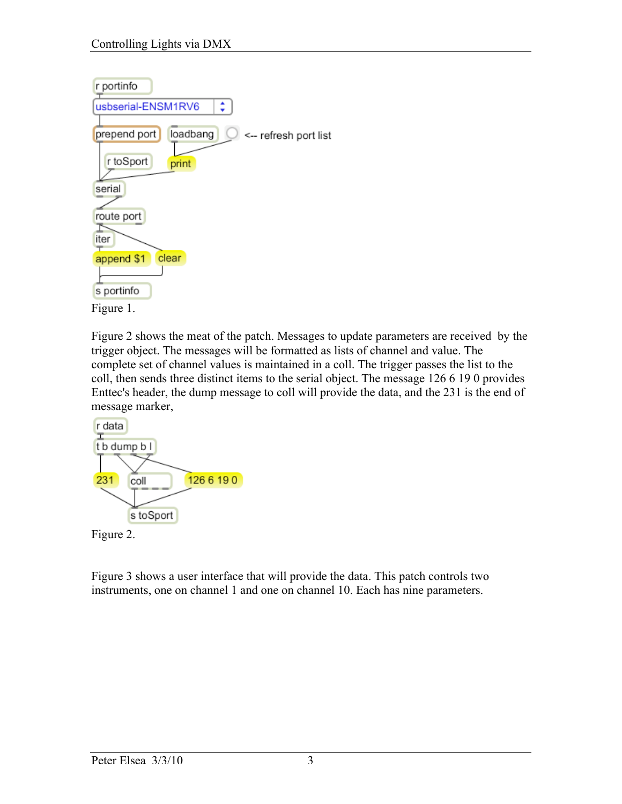

Figure 2 shows the meat of the patch. Messages to update parameters are received by the trigger object. The messages will be formatted as lists of channel and value. The complete set of channel values is maintained in a coll. The trigger passes the list to the coll, then sends three distinct items to the serial object. The message 126 6 19 0 provides Enttec's header, the dump message to coll will provide the data, and the 231 is the end of message marker,



Figure 3 shows a user interface that will provide the data. This patch controls two instruments, one on channel 1 and one on channel 10. Each has nine parameters.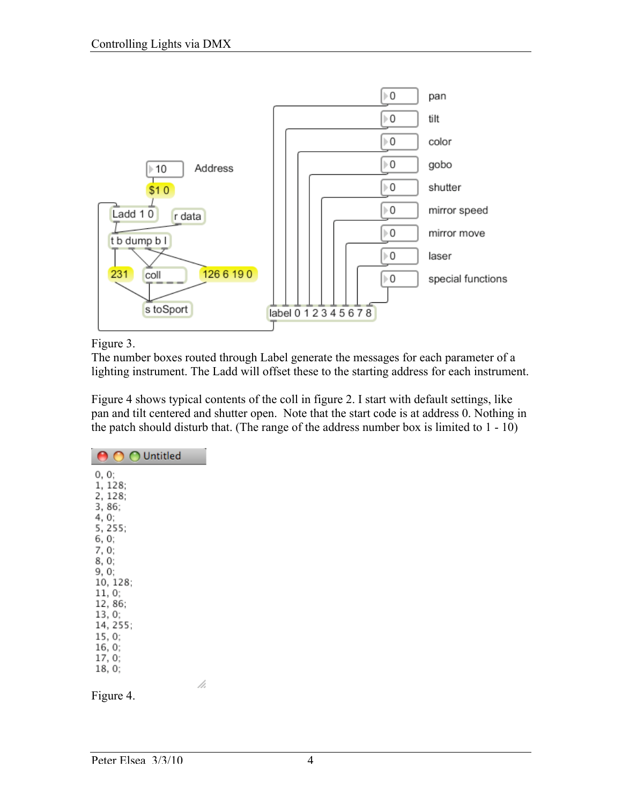

Figure 3.

The number boxes routed through Label generate the messages for each parameter of a lighting instrument. The Ladd will offset these to the starting address for each instrument.

Figure 4 shows typical contents of the coll in figure 2. I start with default settings, like pan and tilt centered and shutter open. Note that the start code is at address 0. Nothing in the patch should disturb that. (The range of the address number box is limited to 1 - 10)

| Untitled                                                |
|---------------------------------------------------------|
| 0.0:<br>1, 128;<br>2, 128;<br>3,86:<br>4, 0;<br>5, 255; |
| 6, 0;<br>7, 0;<br>8.0:<br>9. 0:<br>10, 128;<br>11, 0;   |
| 12, 86;<br>13, 0;<br>14, 255;<br>15, 0;                 |
| 16, 0;<br>17, 0;<br>18, 0;                              |
| Figure 4.                                               |

/i.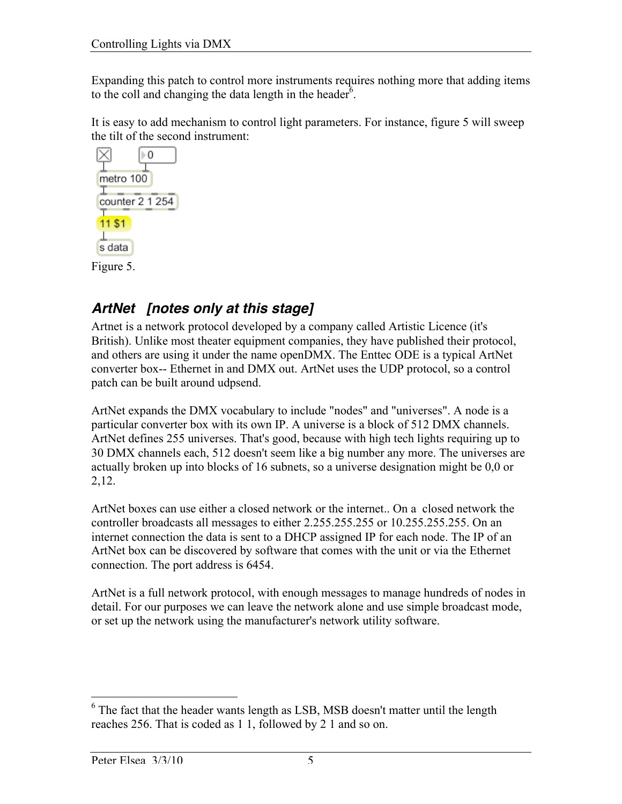Expanding this patch to control more instruments requires nothing more that adding items to the coll and changing the data length in the header<sup> $6$ </sup>.

It is easy to add mechanism to control light parameters. For instance, figure 5 will sweep the tilt of the second instrument:



# *ArtNet [notes only at this stage]*

Artnet is a network protocol developed by a company called Artistic Licence (it's British). Unlike most theater equipment companies, they have published their protocol, and others are using it under the name openDMX. The Enttec ODE is a typical ArtNet converter box-- Ethernet in and DMX out. ArtNet uses the UDP protocol, so a control patch can be built around udpsend.

ArtNet expands the DMX vocabulary to include "nodes" and "universes". A node is a particular converter box with its own IP. A universe is a block of 512 DMX channels. ArtNet defines 255 universes. That's good, because with high tech lights requiring up to 30 DMX channels each, 512 doesn't seem like a big number any more. The universes are actually broken up into blocks of 16 subnets, so a universe designation might be 0,0 or 2,12.

ArtNet boxes can use either a closed network or the internet.. On a closed network the controller broadcasts all messages to either 2.255.255.255 or 10.255.255.255. On an internet connection the data is sent to a DHCP assigned IP for each node. The IP of an ArtNet box can be discovered by software that comes with the unit or via the Ethernet connection. The port address is 6454.

ArtNet is a full network protocol, with enough messages to manage hundreds of nodes in detail. For our purposes we can leave the network alone and use simple broadcast mode, or set up the network using the manufacturer's network utility software.

<sup>&</sup>lt;sup>6</sup> The fact that the header wants length as LSB, MSB doesn't matter until the length reaches 256. That is coded as 1 1, followed by 2 1 and so on.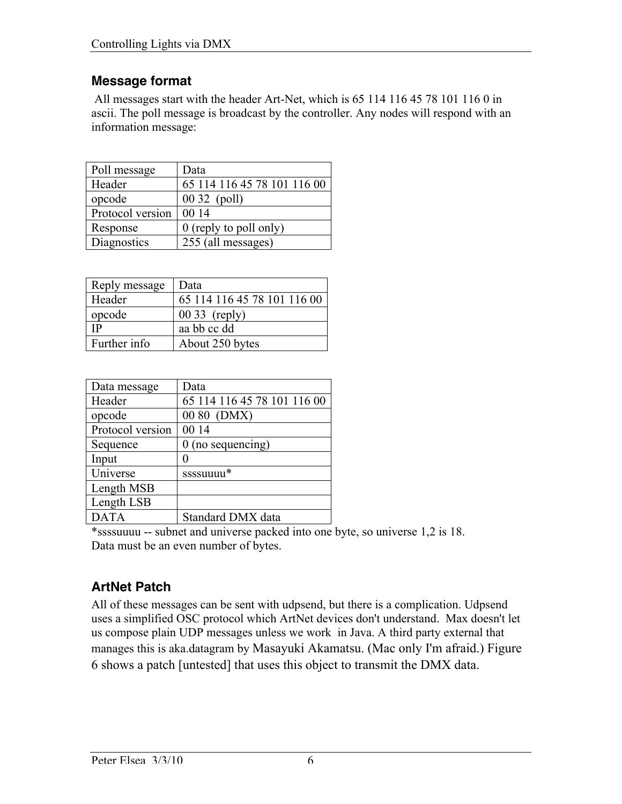#### **Message format**

 All messages start with the header Art-Net, which is 65 114 116 45 78 101 116 0 in ascii. The poll message is broadcast by the controller. Any nodes will respond with an information message:

| Poll message     | Data                        |
|------------------|-----------------------------|
| Header           | 65 114 116 45 78 101 116 00 |
| opcode           | 00 32 (poll)                |
| Protocol version | 00 14                       |
| Response         | 0 (reply to poll only)      |
| Diagnostics      | 255 (all messages)          |

| Reply message | Data                        |
|---------------|-----------------------------|
| Header        | 65 114 116 45 78 101 116 00 |
| opcode        | $0033$ (reply)              |
| <b>IP</b>     | aa bb cc dd                 |
| Further info  | About 250 bytes             |

| Data message     | Data                        |
|------------------|-----------------------------|
| Header           | 65 114 116 45 78 101 116 00 |
| opcode           | 00 80 (DMX)                 |
| Protocol version | 00 14                       |
| Sequence         | $0$ (no sequencing)         |
| Input            |                             |
| Universe         | ssssuuuu*                   |
| Length MSB       |                             |
| Length LSB       |                             |
| <b>DATA</b>      | Standard DMX data           |

\*ssssuuuu -- subnet and universe packed into one byte, so universe 1,2 is 18. Data must be an even number of bytes.

### **ArtNet Patch**

All of these messages can be sent with udpsend, but there is a complication. Udpsend uses a simplified OSC protocol which ArtNet devices don't understand. Max doesn't let us compose plain UDP messages unless we work in Java. A third party external that manages this is aka.datagram by Masayuki Akamatsu. (Mac only I'm afraid.) Figure 6 shows a patch [untested] that uses this object to transmit the DMX data.